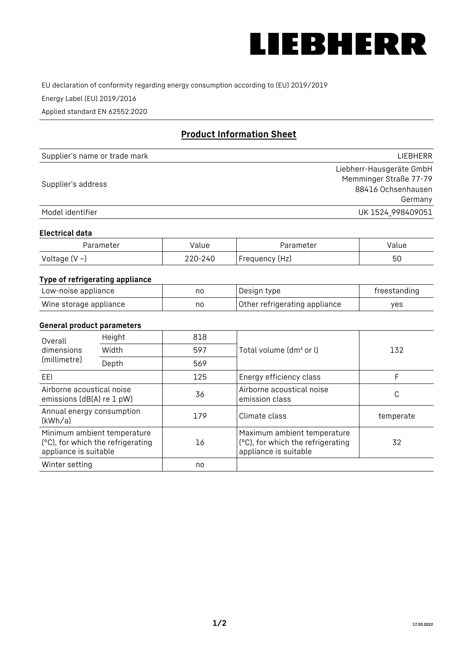

EU declaration of conformity regarding energy consumption according to (EU) 2019/2019

Energy Label (EU) 2019/2016

Applied standard EN 62552:2020

# **Product Information Sheet**

| Supplier's name or trade mark | <b>LIFBHFRR</b>          |
|-------------------------------|--------------------------|
|                               | Liebherr-Hausgeräte GmbH |
| Supplier's address            | Memminger Straße 77-79   |
|                               | 88416 Ochsenhausen       |
|                               | Germany                  |
| Model identifier              | UK 1524 998409051        |

#### **Electrical data**

| Parameter     | Value   | Parameter      | Value |
|---------------|---------|----------------|-------|
| Voltage (V ~) | 220-240 | Frequency (Hz) | 50    |

## **Type of refrigerating appliance**

| Low-noise appliance    | nc | Design type                   | freestanding |
|------------------------|----|-------------------------------|--------------|
| Wine storage appliance | nc | Other refrigerating appliance | ves          |

#### **General product parameters**

| Overall<br>dimensions<br>(millimetre)                                                     | Height | 818 |                                                                                           | 132       |
|-------------------------------------------------------------------------------------------|--------|-----|-------------------------------------------------------------------------------------------|-----------|
|                                                                                           | Width  | 597 | Total volume (dm <sup>3</sup> or l)                                                       |           |
|                                                                                           | Depth  | 569 |                                                                                           |           |
| EEI                                                                                       |        | 125 | Energy efficiency class                                                                   | F         |
| Airborne acoustical noise<br>emissions (dB(A) re 1 pW)                                    |        | 36  | Airborne acoustical noise<br>emission class                                               | С         |
| Annual energy consumption<br>(kWh/a)                                                      |        | 179 | Climate class                                                                             | temperate |
| Minimum ambient temperature<br>(°C), for which the refrigerating<br>appliance is suitable |        | 16  | Maximum ambient temperature<br>(°C), for which the refrigerating<br>appliance is suitable | 32        |
| Winter setting                                                                            |        | no  |                                                                                           |           |